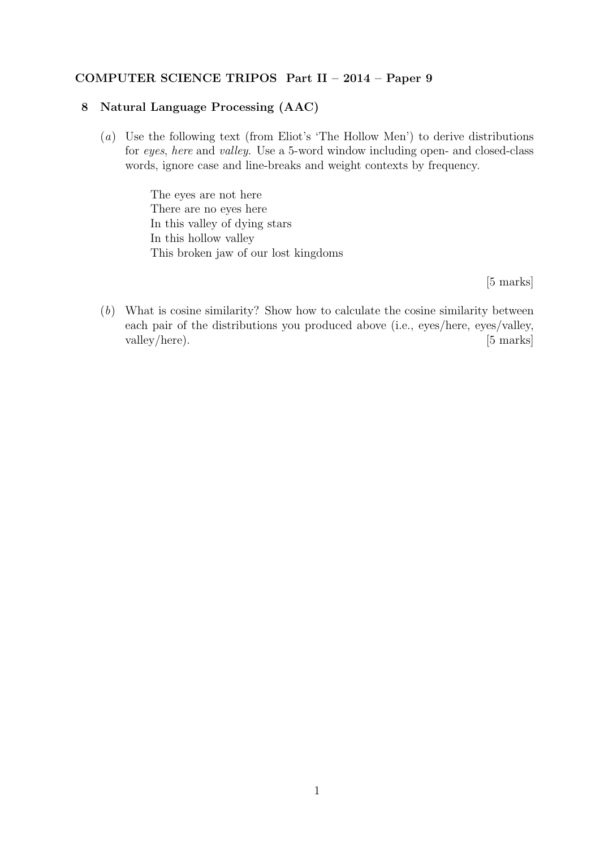## COMPUTER SCIENCE TRIPOS Part II – 2014 – Paper 9

## 8 Natural Language Processing (AAC)

(a) Use the following text (from Eliot's 'The Hollow Men') to derive distributions for eyes, here and valley. Use a 5-word window including open- and closed-class words, ignore case and line-breaks and weight contexts by frequency.

> The eyes are not here There are no eyes here In this valley of dying stars In this hollow valley This broken jaw of our lost kingdoms

> > [5 marks]

(b) What is cosine similarity? Show how to calculate the cosine similarity between each pair of the distributions you produced above (i.e., eyes/here, eyes/valley, valley/here). [5 marks]